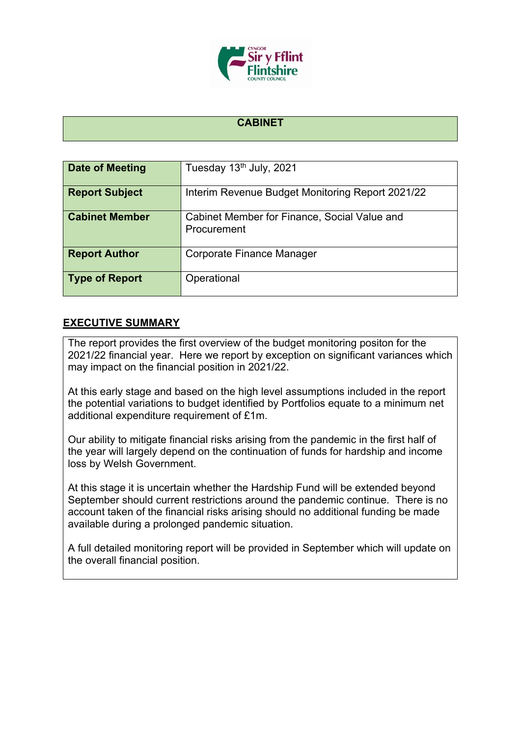

## **CABINET**

| Date of Meeting       | Tuesday 13 <sup>th</sup> July, 2021                         |
|-----------------------|-------------------------------------------------------------|
| <b>Report Subject</b> | Interim Revenue Budget Monitoring Report 2021/22            |
| <b>Cabinet Member</b> | Cabinet Member for Finance, Social Value and<br>Procurement |
| <b>Report Author</b>  | Corporate Finance Manager                                   |
| <b>Type of Report</b> | Operational                                                 |

## **EXECUTIVE SUMMARY**

The report provides the first overview of the budget monitoring positon for the 2021/22 financial year. Here we report by exception on significant variances which may impact on the financial position in 2021/22.

At this early stage and based on the high level assumptions included in the report the potential variations to budget identified by Portfolios equate to a minimum net additional expenditure requirement of £1m.

Our ability to mitigate financial risks arising from the pandemic in the first half of the year will largely depend on the continuation of funds for hardship and income loss by Welsh Government.

At this stage it is uncertain whether the Hardship Fund will be extended beyond September should current restrictions around the pandemic continue. There is no account taken of the financial risks arising should no additional funding be made available during a prolonged pandemic situation.

A full detailed monitoring report will be provided in September which will update on the overall financial position.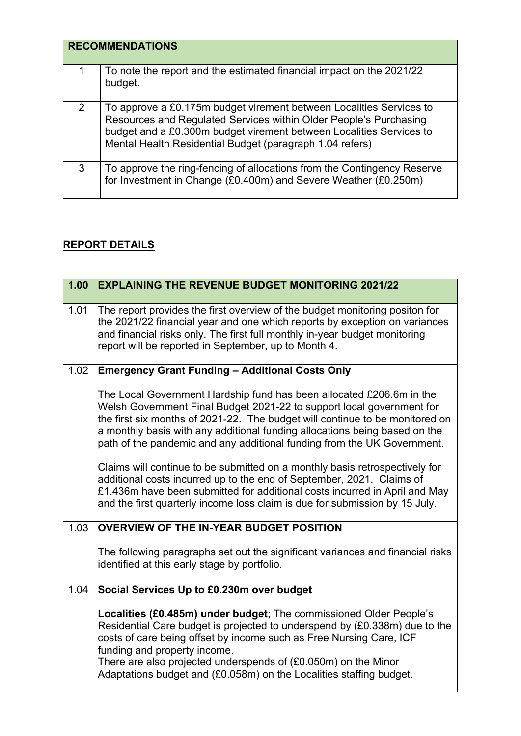|   | <b>RECOMMENDATIONS</b>                                                                                                                                                                                                                                                      |
|---|-----------------------------------------------------------------------------------------------------------------------------------------------------------------------------------------------------------------------------------------------------------------------------|
| 1 | To note the report and the estimated financial impact on the 2021/22<br>budget.                                                                                                                                                                                             |
| 2 | To approve a £0.175m budget virement between Localities Services to<br>Resources and Regulated Services within Older People's Purchasing<br>budget and a £0.300m budget virement between Localities Services to<br>Mental Health Residential Budget (paragraph 1.04 refers) |
| 3 | To approve the ring-fencing of allocations from the Contingency Reserve<br>for Investment in Change (£0.400m) and Severe Weather (£0.250m)                                                                                                                                  |

## **REPORT DETAILS**

 $\mathbf l$ 

٠

| 1.00 | <b>EXPLAINING THE REVENUE BUDGET MONITORING 2021/22</b>                                                                                                                                                                                                                                                                                                                                                                                                                                                                                                                                                                                                                                                     |
|------|-------------------------------------------------------------------------------------------------------------------------------------------------------------------------------------------------------------------------------------------------------------------------------------------------------------------------------------------------------------------------------------------------------------------------------------------------------------------------------------------------------------------------------------------------------------------------------------------------------------------------------------------------------------------------------------------------------------|
| 1.01 | The report provides the first overview of the budget monitoring positon for<br>the 2021/22 financial year and one which reports by exception on variances<br>and financial risks only. The first full monthly in-year budget monitoring<br>report will be reported in September, up to Month 4.                                                                                                                                                                                                                                                                                                                                                                                                             |
| 1.02 | <b>Emergency Grant Funding - Additional Costs Only</b>                                                                                                                                                                                                                                                                                                                                                                                                                                                                                                                                                                                                                                                      |
|      | The Local Government Hardship fund has been allocated £206.6m in the<br>Welsh Government Final Budget 2021-22 to support local government for<br>the first six months of 2021-22. The budget will continue to be monitored on<br>a monthly basis with any additional funding allocations being based on the<br>path of the pandemic and any additional funding from the UK Government.<br>Claims will continue to be submitted on a monthly basis retrospectively for<br>additional costs incurred up to the end of September, 2021. Claims of<br>£1.436m have been submitted for additional costs incurred in April and May<br>and the first quarterly income loss claim is due for submission by 15 July. |
| 1.03 | <b>OVERVIEW OF THE IN-YEAR BUDGET POSITION</b>                                                                                                                                                                                                                                                                                                                                                                                                                                                                                                                                                                                                                                                              |
|      | The following paragraphs set out the significant variances and financial risks<br>identified at this early stage by portfolio.                                                                                                                                                                                                                                                                                                                                                                                                                                                                                                                                                                              |
| 1.04 | Social Services Up to £0.230m over budget                                                                                                                                                                                                                                                                                                                                                                                                                                                                                                                                                                                                                                                                   |
|      | Localities (£0.485m) under budget; The commissioned Older People's<br>Residential Care budget is projected to underspend by (£0.338m) due to the<br>costs of care being offset by income such as Free Nursing Care, ICF<br>funding and property income.<br>There are also projected underspends of $(£0.050m)$ on the Minor<br>Adaptations budget and (£0.058m) on the Localities staffing budget.                                                                                                                                                                                                                                                                                                          |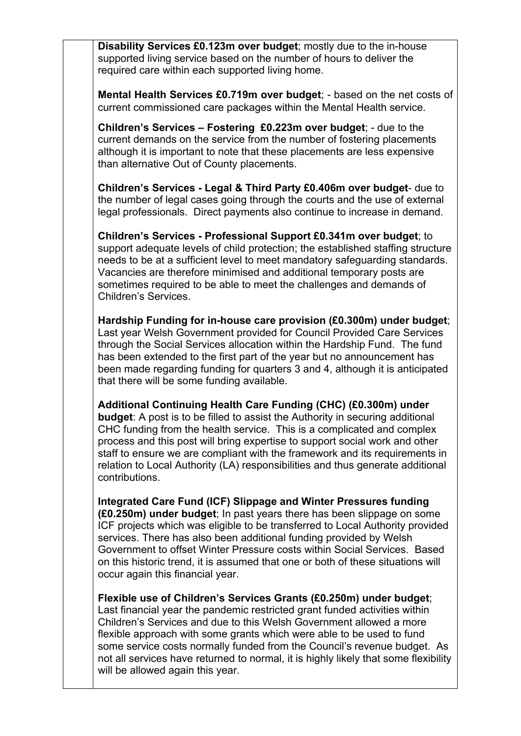**Disability Services £0.123m over budget**; mostly due to the in-house supported living service based on the number of hours to deliver the required care within each supported living home.

**Mental Health Services £0.719m over budget**; - based on the net costs of current commissioned care packages within the Mental Health service.

**Children's Services – Fostering £0.223m over budget**; - due to the current demands on the service from the number of fostering placements although it is important to note that these placements are less expensive than alternative Out of County placements.

**Children's Services - Legal & Third Party £0.406m over budget**- due to the number of legal cases going through the courts and the use of external legal professionals. Direct payments also continue to increase in demand.

**Children's Services - Professional Support £0.341m over budget**; to support adequate levels of child protection; the established staffing structure needs to be at a sufficient level to meet mandatory safeguarding standards. Vacancies are therefore minimised and additional temporary posts are sometimes required to be able to meet the challenges and demands of Children's Services.

**Hardship Funding for in-house care provision (£0.300m) under budget**; Last year Welsh Government provided for Council Provided Care Services through the Social Services allocation within the Hardship Fund. The fund has been extended to the first part of the year but no announcement has been made regarding funding for quarters 3 and 4, although it is anticipated that there will be some funding available.

**Additional Continuing Health Care Funding (CHC) (£0.300m) under budget**: A post is to be filled to assist the Authority in securing additional CHC funding from the health service. This is a complicated and complex process and this post will bring expertise to support social work and other staff to ensure we are compliant with the framework and its requirements in relation to Local Authority (LA) responsibilities and thus generate additional contributions.

**Integrated Care Fund (ICF) Slippage and Winter Pressures funding (£0.250m) under budget**; In past years there has been slippage on some ICF projects which was eligible to be transferred to Local Authority provided services. There has also been additional funding provided by Welsh Government to offset Winter Pressure costs within Social Services. Based on this historic trend, it is assumed that one or both of these situations will occur again this financial year.

**Flexible use of Children's Services Grants (£0.250m) under budget**; Last financial year the pandemic restricted grant funded activities within Children's Services and due to this Welsh Government allowed a more flexible approach with some grants which were able to be used to fund some service costs normally funded from the Council's revenue budget. As not all services have returned to normal, it is highly likely that some flexibility will be allowed again this year.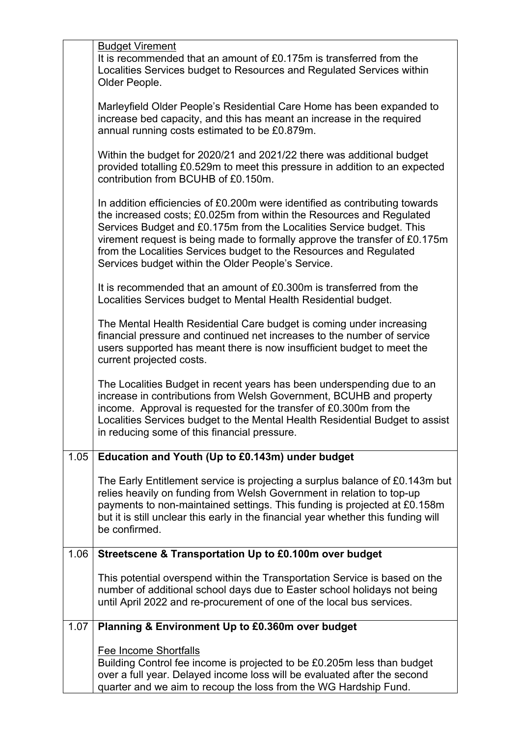|      | <b>Budget Virement</b>                                                                                                                                                                                                                                                                                                                                                                                                                |
|------|---------------------------------------------------------------------------------------------------------------------------------------------------------------------------------------------------------------------------------------------------------------------------------------------------------------------------------------------------------------------------------------------------------------------------------------|
|      | It is recommended that an amount of £0.175m is transferred from the<br>Localities Services budget to Resources and Regulated Services within<br>Older People.                                                                                                                                                                                                                                                                         |
|      | Marleyfield Older People's Residential Care Home has been expanded to<br>increase bed capacity, and this has meant an increase in the required<br>annual running costs estimated to be £0.879m.                                                                                                                                                                                                                                       |
|      | Within the budget for 2020/21 and 2021/22 there was additional budget<br>provided totalling £0.529m to meet this pressure in addition to an expected<br>contribution from BCUHB of £0.150m.                                                                                                                                                                                                                                           |
|      | In addition efficiencies of £0.200m were identified as contributing towards<br>the increased costs; £0.025m from within the Resources and Regulated<br>Services Budget and £0.175m from the Localities Service budget. This<br>virement request is being made to formally approve the transfer of £0.175m<br>from the Localities Services budget to the Resources and Regulated<br>Services budget within the Older People's Service. |
|      | It is recommended that an amount of £0.300m is transferred from the<br>Localities Services budget to Mental Health Residential budget.                                                                                                                                                                                                                                                                                                |
|      | The Mental Health Residential Care budget is coming under increasing<br>financial pressure and continued net increases to the number of service<br>users supported has meant there is now insufficient budget to meet the<br>current projected costs.                                                                                                                                                                                 |
|      | The Localities Budget in recent years has been underspending due to an<br>increase in contributions from Welsh Government, BCUHB and property<br>income. Approval is requested for the transfer of £0.300m from the<br>Localities Services budget to the Mental Health Residential Budget to assist<br>in reducing some of this financial pressure.                                                                                   |
| 1.05 | Education and Youth (Up to £0.143m) under budget                                                                                                                                                                                                                                                                                                                                                                                      |
|      | The Early Entitlement service is projecting a surplus balance of £0.143m but<br>relies heavily on funding from Welsh Government in relation to top-up<br>payments to non-maintained settings. This funding is projected at £0.158m<br>but it is still unclear this early in the financial year whether this funding will<br>be confirmed.                                                                                             |
| 1.06 | Streetscene & Transportation Up to £0.100m over budget                                                                                                                                                                                                                                                                                                                                                                                |
|      | This potential overspend within the Transportation Service is based on the<br>number of additional school days due to Easter school holidays not being<br>until April 2022 and re-procurement of one of the local bus services.                                                                                                                                                                                                       |
| 1.07 | Planning & Environment Up to £0.360m over budget                                                                                                                                                                                                                                                                                                                                                                                      |
|      | Fee Income Shortfalls<br>Building Control fee income is projected to be £0.205m less than budget<br>over a full year. Delayed income loss will be evaluated after the second<br>quarter and we aim to recoup the loss from the WG Hardship Fund.                                                                                                                                                                                      |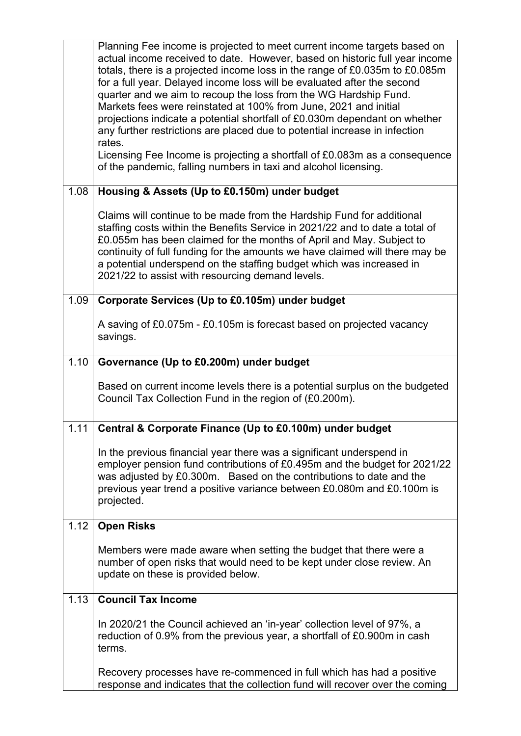|      | Planning Fee income is projected to meet current income targets based on<br>actual income received to date. However, based on historic full year income<br>totals, there is a projected income loss in the range of £0.035m to £0.085m<br>for a full year. Delayed income loss will be evaluated after the second<br>quarter and we aim to recoup the loss from the WG Hardship Fund.<br>Markets fees were reinstated at 100% from June, 2021 and initial<br>projections indicate a potential shortfall of £0.030m dependant on whether<br>any further restrictions are placed due to potential increase in infection<br>rates.<br>Licensing Fee Income is projecting a shortfall of £0.083m as a consequence<br>of the pandemic, falling numbers in taxi and alcohol licensing. |
|------|----------------------------------------------------------------------------------------------------------------------------------------------------------------------------------------------------------------------------------------------------------------------------------------------------------------------------------------------------------------------------------------------------------------------------------------------------------------------------------------------------------------------------------------------------------------------------------------------------------------------------------------------------------------------------------------------------------------------------------------------------------------------------------|
| 1.08 | Housing & Assets (Up to £0.150m) under budget                                                                                                                                                                                                                                                                                                                                                                                                                                                                                                                                                                                                                                                                                                                                    |
|      | Claims will continue to be made from the Hardship Fund for additional<br>staffing costs within the Benefits Service in 2021/22 and to date a total of<br>£0.055m has been claimed for the months of April and May. Subject to<br>continuity of full funding for the amounts we have claimed will there may be<br>a potential underspend on the staffing budget which was increased in<br>2021/22 to assist with resourcing demand levels.                                                                                                                                                                                                                                                                                                                                        |
| 1.09 | Corporate Services (Up to £0.105m) under budget                                                                                                                                                                                                                                                                                                                                                                                                                                                                                                                                                                                                                                                                                                                                  |
|      | A saving of £0.075m - £0.105m is forecast based on projected vacancy<br>savings.                                                                                                                                                                                                                                                                                                                                                                                                                                                                                                                                                                                                                                                                                                 |
| 1.10 | Governance (Up to £0.200m) under budget                                                                                                                                                                                                                                                                                                                                                                                                                                                                                                                                                                                                                                                                                                                                          |
|      | Based on current income levels there is a potential surplus on the budgeted<br>Council Tax Collection Fund in the region of (£0.200m).                                                                                                                                                                                                                                                                                                                                                                                                                                                                                                                                                                                                                                           |
| 1.11 | Central & Corporate Finance (Up to £0.100m) under budget                                                                                                                                                                                                                                                                                                                                                                                                                                                                                                                                                                                                                                                                                                                         |
|      | In the previous financial year there was a significant underspend in<br>employer pension fund contributions of £0.495m and the budget for 2021/22<br>was adjusted by £0.300m. Based on the contributions to date and the<br>previous year trend a positive variance between £0.080m and £0.100m is<br>projected.                                                                                                                                                                                                                                                                                                                                                                                                                                                                 |
| 1.12 | <b>Open Risks</b>                                                                                                                                                                                                                                                                                                                                                                                                                                                                                                                                                                                                                                                                                                                                                                |
|      | Members were made aware when setting the budget that there were a<br>number of open risks that would need to be kept under close review. An<br>update on these is provided below.                                                                                                                                                                                                                                                                                                                                                                                                                                                                                                                                                                                                |
| 1.13 | <b>Council Tax Income</b>                                                                                                                                                                                                                                                                                                                                                                                                                                                                                                                                                                                                                                                                                                                                                        |
|      | In 2020/21 the Council achieved an 'in-year' collection level of 97%, a<br>reduction of 0.9% from the previous year, a shortfall of £0.900m in cash<br>terms.                                                                                                                                                                                                                                                                                                                                                                                                                                                                                                                                                                                                                    |
|      | Recovery processes have re-commenced in full which has had a positive<br>response and indicates that the collection fund will recover over the coming                                                                                                                                                                                                                                                                                                                                                                                                                                                                                                                                                                                                                            |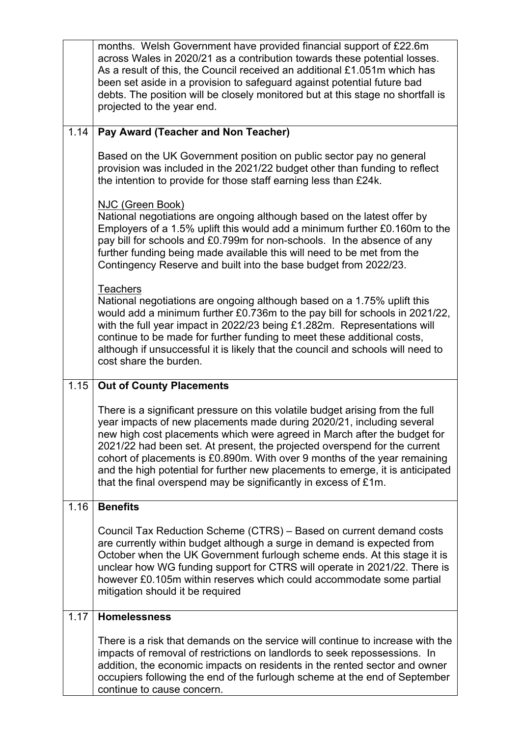|      | months. Welsh Government have provided financial support of £22.6m<br>across Wales in 2020/21 as a contribution towards these potential losses.<br>As a result of this, the Council received an additional £1.051m which has<br>been set aside in a provision to safeguard against potential future bad<br>debts. The position will be closely monitored but at this stage no shortfall is<br>projected to the year end.                                                                                                                          |
|------|---------------------------------------------------------------------------------------------------------------------------------------------------------------------------------------------------------------------------------------------------------------------------------------------------------------------------------------------------------------------------------------------------------------------------------------------------------------------------------------------------------------------------------------------------|
| 1.14 | Pay Award (Teacher and Non Teacher)                                                                                                                                                                                                                                                                                                                                                                                                                                                                                                               |
|      | Based on the UK Government position on public sector pay no general<br>provision was included in the 2021/22 budget other than funding to reflect<br>the intention to provide for those staff earning less than £24k.                                                                                                                                                                                                                                                                                                                             |
|      | NJC (Green Book)<br>National negotiations are ongoing although based on the latest offer by<br>Employers of a 1.5% uplift this would add a minimum further £0.160m to the<br>pay bill for schools and £0.799m for non-schools. In the absence of any<br>further funding being made available this will need to be met from the<br>Contingency Reserve and built into the base budget from 2022/23.                                                                                                                                                |
|      | <b>Teachers</b><br>National negotiations are ongoing although based on a 1.75% uplift this<br>would add a minimum further £0.736m to the pay bill for schools in 2021/22,<br>with the full year impact in 2022/23 being £1.282m. Representations will<br>continue to be made for further funding to meet these additional costs,<br>although if unsuccessful it is likely that the council and schools will need to<br>cost share the burden.                                                                                                     |
| 1.15 | <b>Out of County Placements</b>                                                                                                                                                                                                                                                                                                                                                                                                                                                                                                                   |
|      |                                                                                                                                                                                                                                                                                                                                                                                                                                                                                                                                                   |
|      | There is a significant pressure on this volatile budget arising from the full<br>year impacts of new placements made during 2020/21, including several<br>new high cost placements which were agreed in March after the budget for<br>2021/22 had been set. At present, the projected overspend for the current<br>cohort of placements is £0.890m. With over 9 months of the year remaining<br>and the high potential for further new placements to emerge, it is anticipated<br>that the final overspend may be significantly in excess of £1m. |
| 1.16 | <b>Benefits</b>                                                                                                                                                                                                                                                                                                                                                                                                                                                                                                                                   |
|      | Council Tax Reduction Scheme (CTRS) - Based on current demand costs<br>are currently within budget although a surge in demand is expected from<br>October when the UK Government furlough scheme ends. At this stage it is<br>unclear how WG funding support for CTRS will operate in 2021/22. There is<br>however £0.105m within reserves which could accommodate some partial<br>mitigation should it be required                                                                                                                               |
| 1.17 | <b>Homelessness</b>                                                                                                                                                                                                                                                                                                                                                                                                                                                                                                                               |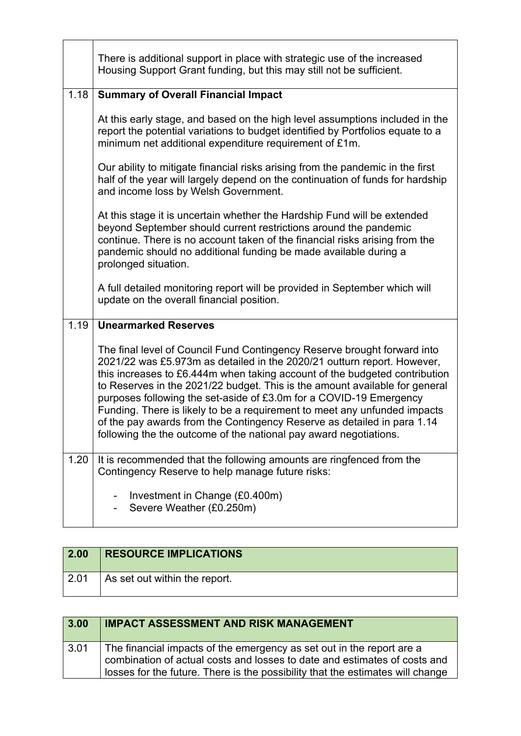|      | There is additional support in place with strategic use of the increased<br>Housing Support Grant funding, but this may still not be sufficient.                                                                                                                                                                                                                                                                                                                                                                                                                                                                    |
|------|---------------------------------------------------------------------------------------------------------------------------------------------------------------------------------------------------------------------------------------------------------------------------------------------------------------------------------------------------------------------------------------------------------------------------------------------------------------------------------------------------------------------------------------------------------------------------------------------------------------------|
| 1.18 | <b>Summary of Overall Financial Impact</b>                                                                                                                                                                                                                                                                                                                                                                                                                                                                                                                                                                          |
|      | At this early stage, and based on the high level assumptions included in the<br>report the potential variations to budget identified by Portfolios equate to a<br>minimum net additional expenditure requirement of £1m.                                                                                                                                                                                                                                                                                                                                                                                            |
|      | Our ability to mitigate financial risks arising from the pandemic in the first<br>half of the year will largely depend on the continuation of funds for hardship<br>and income loss by Welsh Government.                                                                                                                                                                                                                                                                                                                                                                                                            |
|      | At this stage it is uncertain whether the Hardship Fund will be extended<br>beyond September should current restrictions around the pandemic<br>continue. There is no account taken of the financial risks arising from the<br>pandemic should no additional funding be made available during a<br>prolonged situation.                                                                                                                                                                                                                                                                                             |
|      | A full detailed monitoring report will be provided in September which will<br>update on the overall financial position.                                                                                                                                                                                                                                                                                                                                                                                                                                                                                             |
| 1.19 | <b>Unearmarked Reserves</b>                                                                                                                                                                                                                                                                                                                                                                                                                                                                                                                                                                                         |
|      | The final level of Council Fund Contingency Reserve brought forward into<br>2021/22 was £5.973m as detailed in the 2020/21 outturn report. However,<br>this increases to £6.444m when taking account of the budgeted contribution<br>to Reserves in the 2021/22 budget. This is the amount available for general<br>purposes following the set-aside of £3.0m for a COVID-19 Emergency<br>Funding. There is likely to be a requirement to meet any unfunded impacts<br>of the pay awards from the Contingency Reserve as detailed in para 1.14<br>following the the outcome of the national pay award negotiations. |
| 1.20 | It is recommended that the following amounts are ringfenced from the<br>Contingency Reserve to help manage future risks:                                                                                                                                                                                                                                                                                                                                                                                                                                                                                            |
|      | Investment in Change (£0.400m)<br>Severe Weather (£0.250m)                                                                                                                                                                                                                                                                                                                                                                                                                                                                                                                                                          |

Ŀ.

| 2.00 | <b>RESOURCE IMPLICATIONS</b>  |
|------|-------------------------------|
| 2.01 | As set out within the report. |

| 3.00 | <b>IMPACT ASSESSMENT AND RISK MANAGEMENT</b>                                                                                                                                                                                         |
|------|--------------------------------------------------------------------------------------------------------------------------------------------------------------------------------------------------------------------------------------|
| 3.01 | The financial impacts of the emergency as set out in the report are a<br>combination of actual costs and losses to date and estimates of costs and<br>losses for the future. There is the possibility that the estimates will change |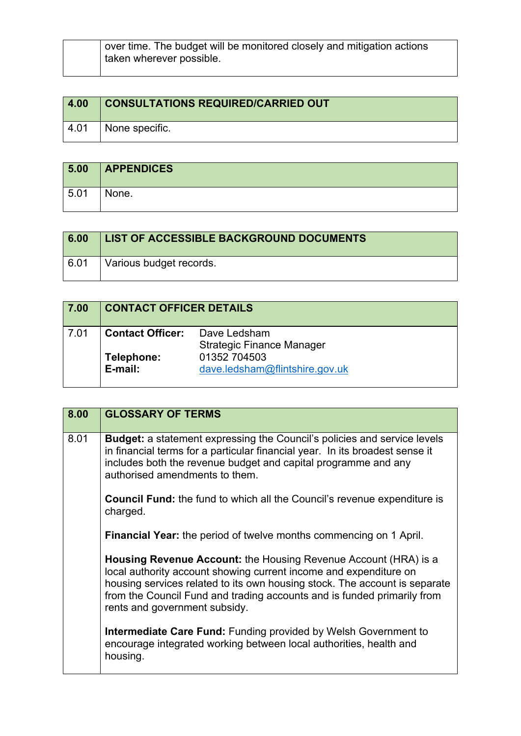| 4.00 | <b>CONSULTATIONS REQUIRED/CARRIED OUT</b> |
|------|-------------------------------------------|
| 4.01 | $\perp$ None specific.                    |

| 5.00 | <b>APPENDICES</b> |
|------|-------------------|
| 5.01 | None.             |

| 6.00 | LIST OF ACCESSIBLE BACKGROUND DOCUMENTS |
|------|-----------------------------------------|
| 6.01 | Various budget records.                 |

| 7.00 | <b>CONTACT OFFICER DETAILS</b> |                                                  |  |
|------|--------------------------------|--------------------------------------------------|--|
| 7.01 | <b>Contact Officer:</b>        | Dave Ledsham<br><b>Strategic Finance Manager</b> |  |
|      | Telephone:<br>E-mail:          | 01352 704503<br>dave.ledsham@flintshire.gov.uk   |  |

| 8.00 | <b>GLOSSARY OF TERMS</b>                                                                                                                                                                                                                                                                                                              |
|------|---------------------------------------------------------------------------------------------------------------------------------------------------------------------------------------------------------------------------------------------------------------------------------------------------------------------------------------|
| 8.01 | <b>Budget:</b> a statement expressing the Council's policies and service levels<br>in financial terms for a particular financial year. In its broadest sense it<br>includes both the revenue budget and capital programme and any<br>authorised amendments to them.                                                                   |
|      | <b>Council Fund:</b> the fund to which all the Council's revenue expenditure is<br>charged.                                                                                                                                                                                                                                           |
|      | <b>Financial Year:</b> the period of twelve months commencing on 1 April.                                                                                                                                                                                                                                                             |
|      | <b>Housing Revenue Account:</b> the Housing Revenue Account (HRA) is a<br>local authority account showing current income and expenditure on<br>housing services related to its own housing stock. The account is separate<br>from the Council Fund and trading accounts and is funded primarily from<br>rents and government subsidy. |
|      | <b>Intermediate Care Fund:</b> Funding provided by Welsh Government to<br>encourage integrated working between local authorities, health and<br>housing.                                                                                                                                                                              |